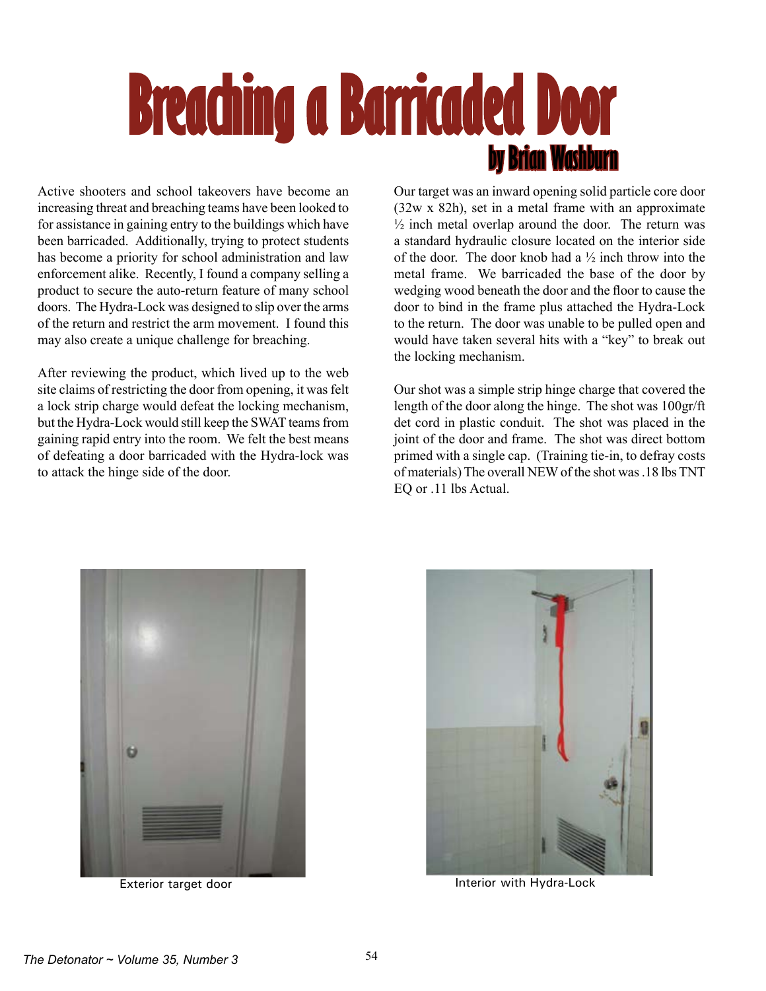## **Breaching a Barricaded Door by Brian Washburn**

Active shooters and school takeovers have become an increasing threat and breaching teams have been looked to for assistance in gaining entry to the buildings which have been barricaded. Additionally, trying to protect students has become a priority for school administration and law enforcement alike. Recently, I found a company selling a product to secure the auto-return feature of many school doors. The Hydra-Lock was designed to slip over the arms of the return and restrict the arm movement. I found this may also create a unique challenge for breaching.

After reviewing the product, which lived up to the web site claims of restricting the door from opening, it was felt a lock strip charge would defeat the locking mechanism, but the Hydra-Lock would still keep the SWAT teams from gaining rapid entry into the room. We felt the best means of defeating a door barricaded with the Hydra-lock was to attack the hinge side of the door.

Our target was an inward opening solid particle core door (32w x 82h), set in a metal frame with an approximate  $\frac{1}{2}$  inch metal overlap around the door. The return was a standard hydraulic closure located on the interior side of the door. The door knob had a  $\frac{1}{2}$  inch throw into the metal frame. We barricaded the base of the door by wedging wood beneath the door and the floor to cause the door to bind in the frame plus attached the Hydra-Lock to the return. The door was unable to be pulled open and would have taken several hits with a "key" to break out the locking mechanism.

Our shot was a simple strip hinge charge that covered the length of the door along the hinge. The shot was 100gr/ft det cord in plastic conduit. The shot was placed in the joint of the door and frame. The shot was direct bottom primed with a single cap. (Training tie-in, to defray costs of materials) The overall NEW of the shot was .18 lbs TNT EQ or .11 lbs Actual.





Exterior target door **Interior with Hydra-Lock Interior with Hydra-Lock**